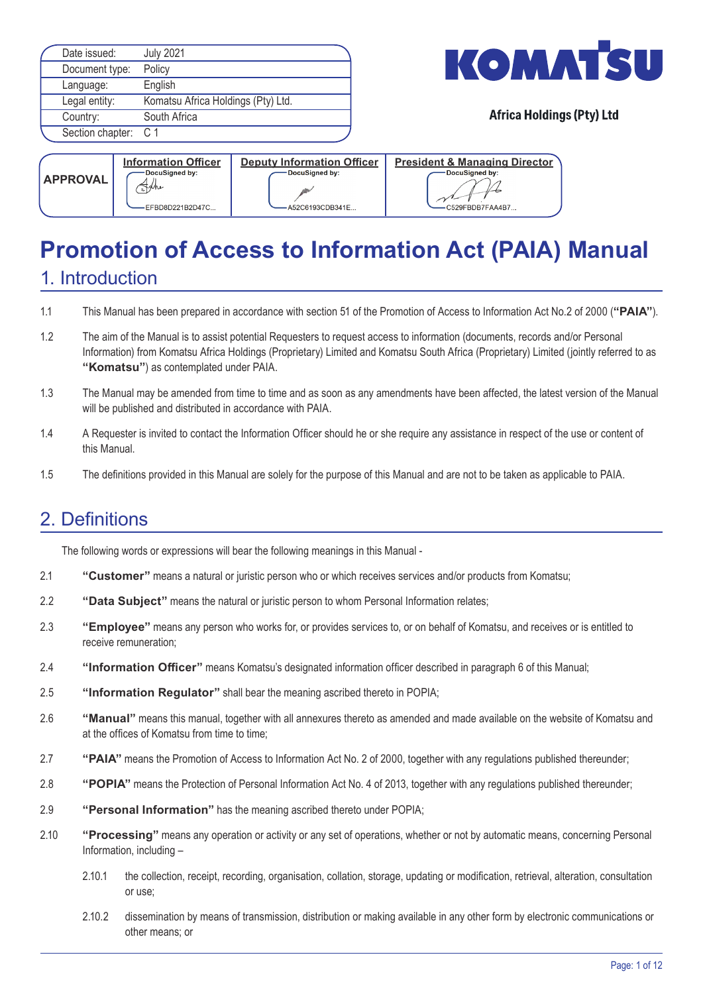| Date issued:         | <b>July 2021</b>                   |
|----------------------|------------------------------------|
| Document type:       | Policy                             |
| Language:            | English                            |
| Legal entity:        | Komatsu Africa Holdings (Pty) Ltd. |
| Country:             | South Africa                       |
| Section chapter: C 1 |                                    |
|                      |                                    |



| <b>APPROVAL</b> | <b>Information Officer</b><br>DocuSigned by:<br>Fyhe<br>EFBD8D221B2D47C | <b>Deputy Information Officer</b><br>DocuSigned by:<br>A52C6193CDB341E | <b>President &amp; Managing Director</b><br>DocuSigned by:<br>C529FBDB7FAA4B7 |
|-----------------|-------------------------------------------------------------------------|------------------------------------------------------------------------|-------------------------------------------------------------------------------|
|-----------------|-------------------------------------------------------------------------|------------------------------------------------------------------------|-------------------------------------------------------------------------------|

# **Promotion of Access to Information Act (PAIA) Manual**

# 1. Introduction

- 1.1 This Manual has been prepared in accordance with section 51 of the Promotion of Access to Information Act No.2 of 2000 (**"PAIA"**).
- 1.2 The aim of the Manual is to assist potential Requesters to request access to information (documents, records and/or Personal Information) from Komatsu Africa Holdings (Proprietary) Limited and Komatsu South Africa (Proprietary) Limited (jointly referred to as **"Komatsu"**) as contemplated under PAIA.
- 1.3 The Manual may be amended from time to time and as soon as any amendments have been affected, the latest version of the Manual will be published and distributed in accordance with PAIA.
- 1.4 A Requester is invited to contact the Information Officer should he or she require any assistance in respect of the use or content of this Manual.
- 1.5 The definitions provided in this Manual are solely for the purpose of this Manual and are not to be taken as applicable to PAIA.

# 2. Definitions

The following words or expressions will bear the following meanings in this Manual -

- 2.1 **"Customer"** means a natural or juristic person who or which receives services and/or products from Komatsu;
- 2.2 **"Data Subject"** means the natural or juristic person to whom Personal Information relates;
- 2.3 **"Employee"** means any person who works for, or provides services to, or on behalf of Komatsu, and receives or is entitled to receive remuneration;
- 2.4 **"Information Officer"** means Komatsu's designated information officer described in paragraph 6 of this Manual;
- 2.5 **"Information Regulator"** shall bear the meaning ascribed thereto in POPIA;
- 2.6 **"Manual"** means this manual, together with all annexures thereto as amended and made available on the website of Komatsu and at the offices of Komatsu from time to time;
- 2.7 **"PAIA"** means the Promotion of Access to Information Act No. 2 of 2000, together with any regulations published thereunder;
- 2.8 **"POPIA"** means the Protection of Personal Information Act No. 4 of 2013, together with any regulations published thereunder;
- 2.9 **"Personal Information"** has the meaning ascribed thereto under POPIA;
- 2.10 **"Processing"** means any operation or activity or any set of operations, whether or not by automatic means, concerning Personal Information, including –
	- 2.10.1 the collection, receipt, recording, organisation, collation, storage, updating or modification, retrieval, alteration, consultation or use;
	- 2.10.2 dissemination by means of transmission, distribution or making available in any other form by electronic communications or other means; or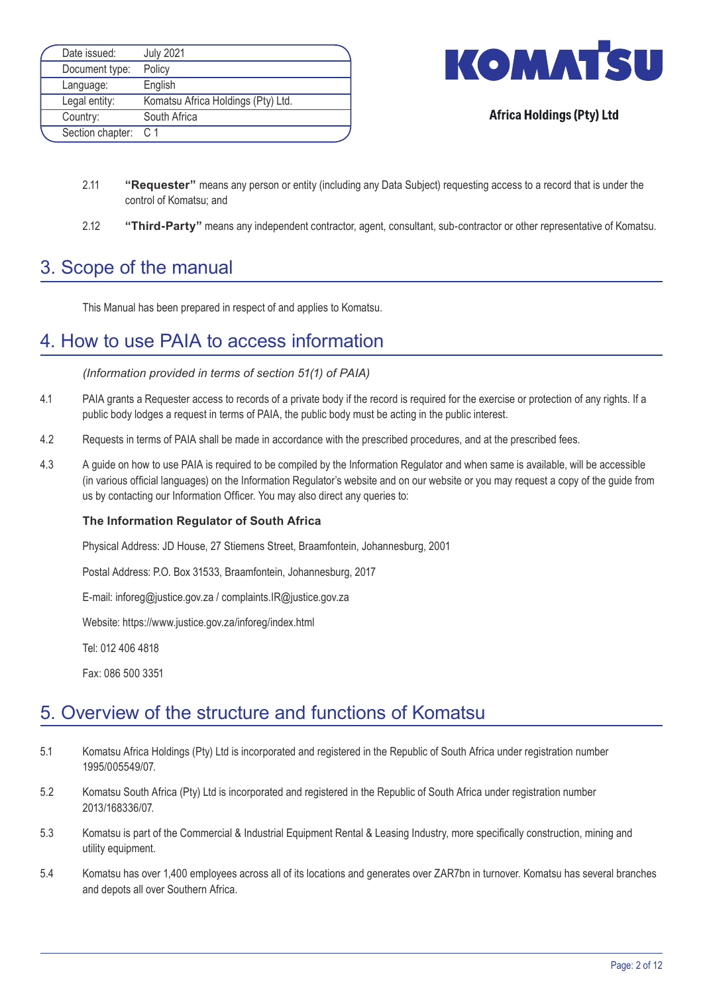| Date issued:         | <b>July 2021</b>                   |  |
|----------------------|------------------------------------|--|
| Document type:       | Policy                             |  |
| Language:            | English                            |  |
| Legal entity:        | Komatsu Africa Holdings (Pty) Ltd. |  |
| Country:             | South Africa                       |  |
| Section chapter: C 1 |                                    |  |



- 2.11 **"Requester"** means any person or entity (including any Data Subject) requesting access to a record that is under the control of Komatsu; and
- 2.12 **"Third-Party"** means any independent contractor, agent, consultant, sub-contractor or other representative of Komatsu.

# 3. Scope of the manual

This Manual has been prepared in respect of and applies to Komatsu.

# 4. How to use PAIA to access information

*(Information provided in terms of section 51(1) of PAIA)*

- 4.1 PAIA grants a Requester access to records of a private body if the record is required for the exercise or protection of any rights. If a public body lodges a request in terms of PAIA, the public body must be acting in the public interest.
- 4.2 Requests in terms of PAIA shall be made in accordance with the prescribed procedures, and at the prescribed fees.
- 4.3 A guide on how to use PAIA is required to be compiled by the Information Regulator and when same is available, will be accessible (in various official languages) on the Information Regulator's website and on our website or you may request a copy of the guide from us by contacting our Information Officer. You may also direct any queries to:

#### **The Information Regulator of South Africa**

Physical Address: JD House, 27 Stiemens Street, Braamfontein, Johannesburg, 2001

Postal Address: P.O. Box 31533, Braamfontein, Johannesburg, 2017

E-mail: inforeg@justice.gov.za / complaints.IR@justice.gov.za

Website: https://www.justice.gov.za/inforeg/index.html

 Tel: 012 406 4818

 Fax: 086 500 3351

# 5. Overview of the structure and functions of Komatsu

- 5.1 Komatsu Africa Holdings (Pty) Ltd is incorporated and registered in the Republic of South Africa under registration number 1995/005549/07.
- 5.2 Komatsu South Africa (Pty) Ltd is incorporated and registered in the Republic of South Africa under registration number 2013/168336/07.
- 5.3 Komatsu is part of the Commercial & Industrial Equipment Rental & Leasing Industry, more specifically construction, mining and utility equipment.
- 5.4 Komatsu has over 1,400 employees across all of its locations and generates over ZAR7bn in turnover. Komatsu has several branches and depots all over Southern Africa.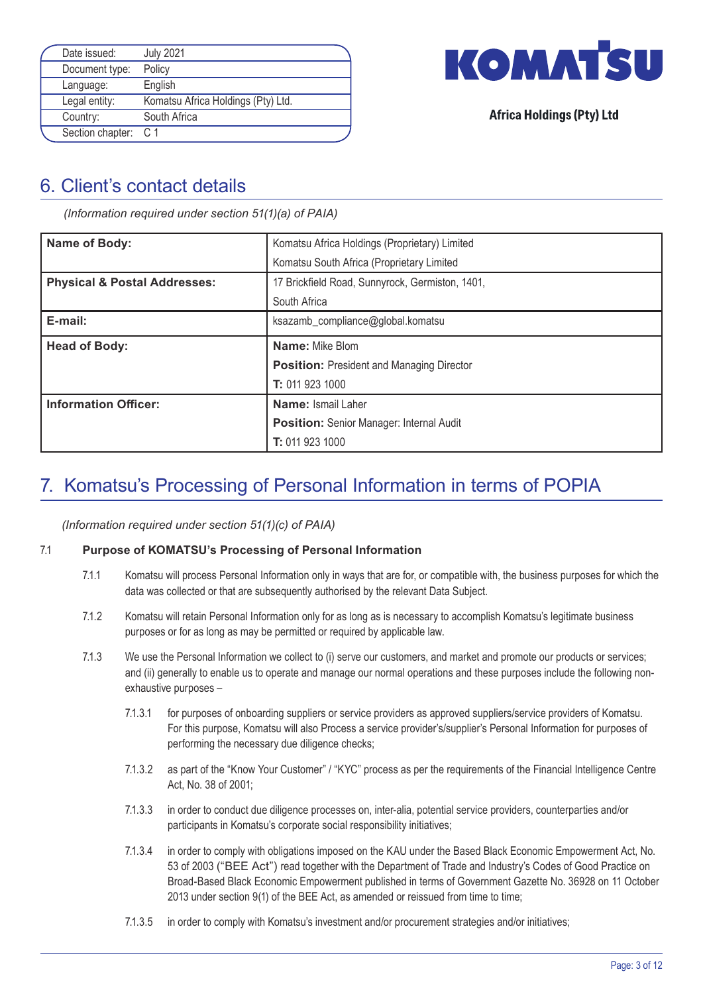| Date issued:         | <b>July 2021</b>                   |  |
|----------------------|------------------------------------|--|
| Document type:       | Policy                             |  |
| Language:            | English                            |  |
| Legal entity:        | Komatsu Africa Holdings (Pty) Ltd. |  |
| Country:             | South Africa                       |  |
| Section chapter: C 1 |                                    |  |



# 6. Client's contact details

*(Information required under section 51(1)(a) of PAIA)*

| Name of Body:                           | Komatsu Africa Holdings (Proprietary) Limited    |
|-----------------------------------------|--------------------------------------------------|
|                                         | Komatsu South Africa (Proprietary Limited        |
| <b>Physical &amp; Postal Addresses:</b> | 17 Brickfield Road, Sunnyrock, Germiston, 1401,  |
|                                         | South Africa                                     |
| E-mail:                                 | ksazamb_compliance@global.komatsu                |
| <b>Head of Body:</b>                    | Name: Mike Blom                                  |
|                                         | <b>Position:</b> President and Managing Director |
|                                         | T: 011 923 1000                                  |
| <b>Information Officer:</b>             | <b>Name: Ismail Laher</b>                        |
|                                         | <b>Position:</b> Senior Manager: Internal Audit  |
|                                         | T: 011 923 1000                                  |

# 7. Komatsu's Processing of Personal Information in terms of POPIA

*(Information required under section 51(1)(c) of PAIA)*

#### 7.1 **Purpose of KOMATSU's Processing of Personal Information**

- 7.1.1 Komatsu will process Personal Information only in ways that are for, or compatible with, the business purposes for which the data was collected or that are subsequently authorised by the relevant Data Subject.
- 7.1.2 Komatsu will retain Personal Information only for as long as is necessary to accomplish Komatsu's legitimate business purposes or for as long as may be permitted or required by applicable law.
- 7.1.3 We use the Personal Information we collect to (i) serve our customers, and market and promote our products or services; and (ii) generally to enable us to operate and manage our normal operations and these purposes include the following non exhaustive purposes –
	- 7.1.3.1 for purposes of onboarding suppliers or service providers as approved suppliers/service providers of Komatsu. For this purpose, Komatsu will also Process a service provider's/supplier's Personal Information for purposes of performing the necessary due diligence checks;
	- 7.1.3.2 as part of the "Know Your Customer" / "KYC" process as per the requirements of the Financial Intelligence Centre Act, No. 38 of 2001;
	- 7.1.3.3 in order to conduct due diligence processes on, inter-alia, potential service providers, counterparties and/or participants in Komatsu's corporate social responsibility initiatives;
	- 7.1.3.4 in order to comply with obligations imposed on the KAU under the Based Black Economic Empowerment Act, No. 53 of 2003 ("BEE Act") read together with the Department of Trade and Industry's Codes of Good Practice on Broad-Based Black Economic Empowerment published in terms of Government Gazette No. 36928 on 11 October 2013 under section 9(1) of the BEE Act, as amended or reissued from time to time;
	- 7.1.3.5 in order to comply with Komatsu's investment and/or procurement strategies and/or initiatives;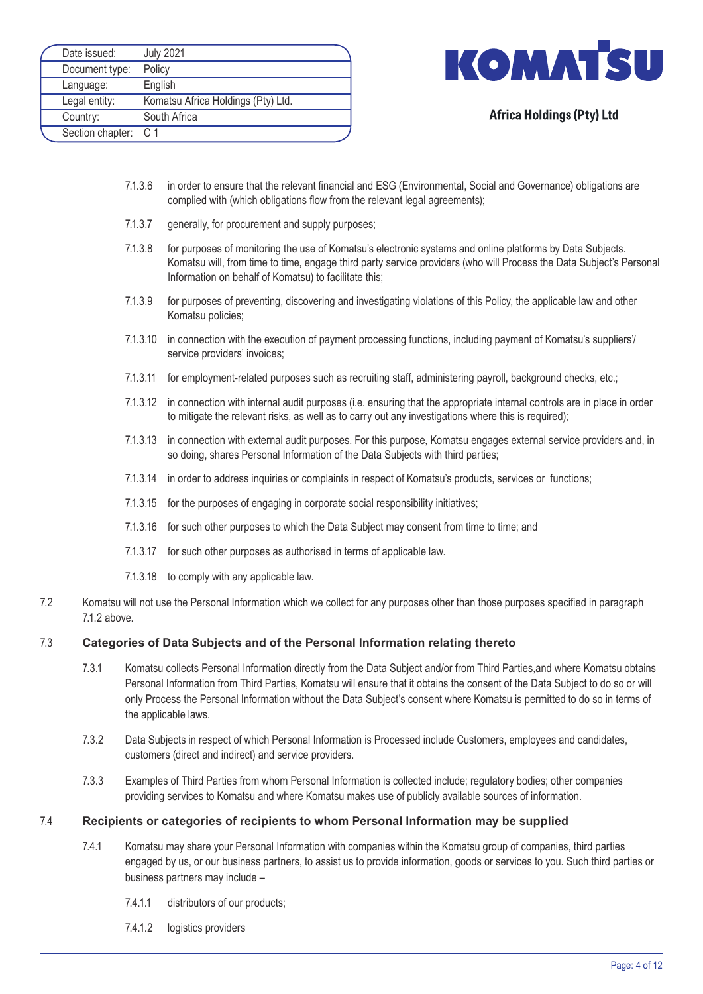| Date issued:         | <b>July 2021</b>                   |
|----------------------|------------------------------------|
| Document type:       | Policy                             |
| Language:            | English                            |
| Legal entity:        | Komatsu Africa Holdings (Pty) Ltd. |
| Country:             | South Africa                       |
| Section chapter: C 1 |                                    |



- 7.1.3.6 in order to ensure that the relevant financial and ESG (Environmental, Social and Governance) obligations are complied with (which obligations flow from the relevant legal agreements);
- 7.1.3.7 generally, for procurement and supply purposes;
- 7.1.3.8 for purposes of monitoring the use of Komatsu's electronic systems and online platforms by Data Subjects. Komatsu will, from time to time, engage third party service providers (who will Process the Data Subject's Personal Information on behalf of Komatsu) to facilitate this;
- 7.1.3.9 for purposes of preventing, discovering and investigating violations of this Policy, the applicable law and other Komatsu policies;
- 7.1.3.10 in connection with the execution of payment processing functions, including payment of Komatsu's suppliers'/ service providers' invoices;
- 7.1.3.11 for employment-related purposes such as recruiting staff, administering payroll, background checks, etc.;
- 7.1.3.12 in connection with internal audit purposes (i.e. ensuring that the appropriate internal controls are in place in order to mitigate the relevant risks, as well as to carry out any investigations where this is required);
- 7.1.3.13 in connection with external audit purposes. For this purpose, Komatsu engages external service providers and, in so doing, shares Personal Information of the Data Subjects with third parties;
- 7.1.3.14 in order to address inquiries or complaints in respect of Komatsu's products, services or functions;
- 7.1.3.15 for the purposes of engaging in corporate social responsibility initiatives;
- 7.1.3.16 for such other purposes to which the Data Subject may consent from time to time; and
- 7.1.3.17 for such other purposes as authorised in terms of applicable law.
- 7.1.3.18 to comply with any applicable law.
- 7.2 Komatsu will not use the Personal Information which we collect for any purposes other than those purposes specified in paragraph 71.2 above

#### 7.3 **Categories of Data Subjects and of the Personal Information relating thereto**

- 7.3.1 Komatsu collects Personal Information directly from the Data Subject and/or from Third Parties,and where Komatsu obtains Personal Information from Third Parties, Komatsu will ensure that it obtains the consent of the Data Subject to do so or will only Process the Personal Information without the Data Subject's consent where Komatsu is permitted to do so in terms of the applicable laws.
- 7.3.2 Data Subjects in respect of which Personal Information is Processed include Customers, employees and candidates, customers (direct and indirect) and service providers.
- 7.3.3 Examples of Third Parties from whom Personal Information is collected include; regulatory bodies; other companies providing services to Komatsu and where Komatsu makes use of publicly available sources of information.

#### 7.4 **Recipients or categories of recipients to whom Personal Information may be supplied**

- 7.4.1 Komatsu may share your Personal Information with companies within the Komatsu group of companies, third parties engaged by us, or our business partners, to assist us to provide information, goods or services to you. Such third parties or business partners may include –
	- 7.4.1.1 distributors of our products;
	- 7.4.1.2 logistics providers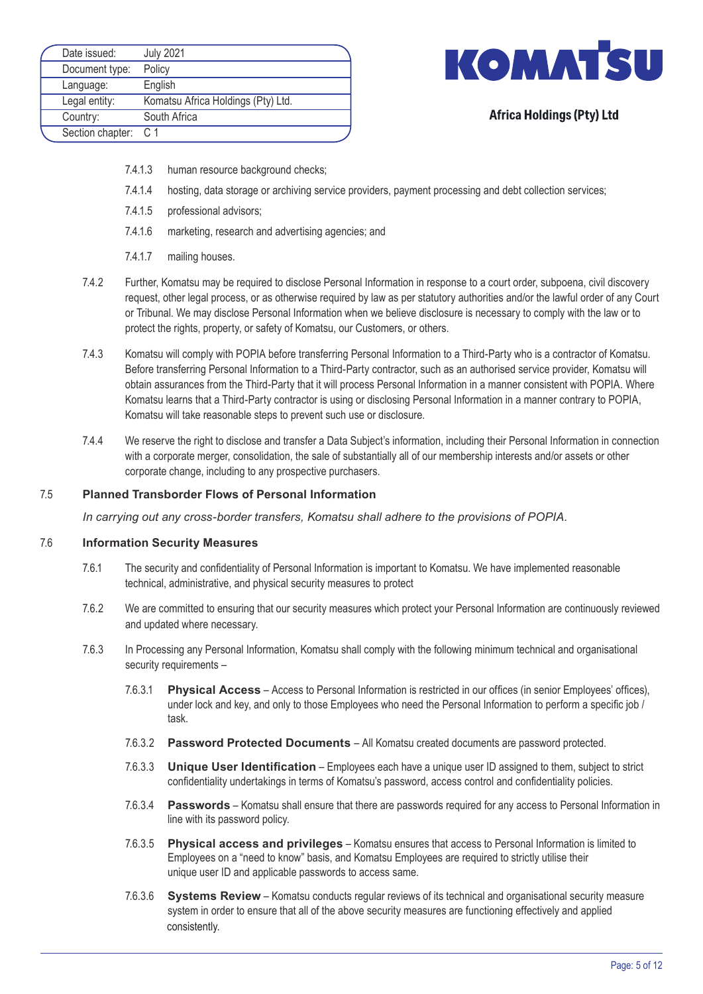| Date issued:         | <b>July 2021</b>                   |
|----------------------|------------------------------------|
| Document type:       | Policy                             |
| Language:            | English                            |
| Legal entity:        | Komatsu Africa Holdings (Pty) Ltd. |
| Country:             | South Africa                       |
| Section chapter: C 1 |                                    |



- 7.4.1.3 human resource background checks;
- 7.4.1.4 hosting, data storage or archiving service providers, payment processing and debt collection services;
- 7.4.1.5 professional advisors;
- 7.4.1.6 marketing, research and advertising agencies; and
- 7.4.1.7 mailing houses.
- 7.4.2 Further, Komatsu may be required to disclose Personal Information in response to a court order, subpoena, civil discovery request, other legal process, or as otherwise required by law as per statutory authorities and/or the lawful order of any Court or Tribunal. We may disclose Personal Information when we believe disclosure is necessary to comply with the law or to protect the rights, property, or safety of Komatsu, our Customers, or others.
- 7.4.3 Komatsu will comply with POPIA before transferring Personal Information to a Third-Party who is a contractor of Komatsu. Before transferring Personal Information to a Third-Party contractor, such as an authorised service provider, Komatsu will obtain assurances from the Third-Party that it will process Personal Information in a manner consistent with POPIA. Where Komatsu learns that a Third-Party contractor is using or disclosing Personal Information in a manner contrary to POPIA, Komatsu will take reasonable steps to prevent such use or disclosure.
- 7.4.4 We reserve the right to disclose and transfer a Data Subject's information, including their Personal Information in connection with a corporate merger, consolidation, the sale of substantially all of our membership interests and/or assets or other corporate change, including to any prospective purchasers.

#### 7.5 **Planned Transborder Flows of Personal Information**

*In carrying out any cross-border transfers, Komatsu shall adhere to the provisions of POPIA.*

#### 7.6 **Information Security Measures**

- 7.6.1 The security and confidentiality of Personal Information is important to Komatsu. We have implemented reasonable technical, administrative, and physical security measures to protect
- 7.6.2 We are committed to ensuring that our security measures which protect your Personal Information are continuously reviewed and updated where necessary.
- 7.6.3 In Processing any Personal Information, Komatsu shall comply with the following minimum technical and organisational security requirements –
	- 7.6.3.1 **Physical Access** Access to Personal Information is restricted in our offices (in senior Employees' offices), under lock and key, and only to those Employees who need the Personal Information to perform a specific job / task.
	- 7.6.3.2 **Password Protected Documents** All Komatsu created documents are password protected.
	- 7.6.3.3 **Unique User Identification** Employees each have a unique user ID assigned to them, subject to strict confidentiality undertakings in terms of Komatsu's password, access control and confidentiality policies.
	- 7.6.3.4 **Passwords** Komatsu shall ensure that there are passwords required for any access to Personal Information in line with its password policy.
	- 7.6.3.5 **Physical access and privileges** Komatsu ensures that access to Personal Information is limited to Employees on a "need to know" basis, and Komatsu Employees are required to strictly utilise their unique user ID and applicable passwords to access same.
	- 7.6.3.6 **Systems Review** Komatsu conducts regular reviews of its technical and organisational security measure system in order to ensure that all of the above security measures are functioning effectively and applied consistently.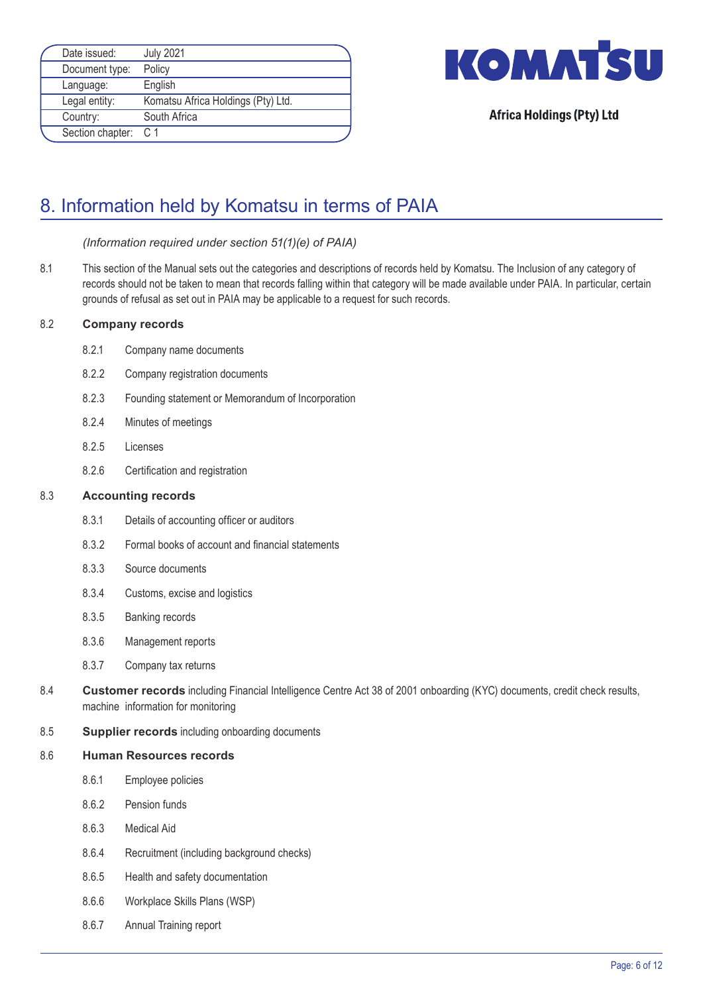| Date issued:         | <b>July 2021</b>                   |  |
|----------------------|------------------------------------|--|
| Document type:       | Policy                             |  |
| Language:            | English                            |  |
| Legal entity:        | Komatsu Africa Holdings (Pty) Ltd. |  |
| Country:             | South Africa                       |  |
| Section chapter: C 1 |                                    |  |



# 8. Information held by Komatsu in terms of PAIA

#### *(Information required under section 51(1)(e) of PAIA)*

8.1 This section of the Manual sets out the categories and descriptions of records held by Komatsu. The Inclusion of any category of records should not be taken to mean that records falling within that category will be made available under PAIA. In particular, certain grounds of refusal as set out in PAIA may be applicable to a request for such records.

#### 8.2 **Company records**

- 8.2.1 Company name documents
- 8.2.2 Company registration documents
- 8.2.3 Founding statement or Memorandum of Incorporation
- 8.2.4 Minutes of meetings
- 8.2.5 Licenses
- 8.2.6 Certification and registration

#### 8.3 **Accounting records**

- 8.3.1 Details of accounting officer or auditors
- 8.3.2 Formal books of account and financial statements
- 8.3.3 Source documents
- 8.3.4 Customs, excise and logistics
- 8.3.5 Banking records
- 8.3.6 Management reports
- 8.3.7 Company tax returns
- 8.4 **Customer records** including Financial Intelligence Centre Act 38 of 2001 onboarding (KYC) documents, credit check results, machine information for monitoring
- 8.5 **Supplier records** including onboarding documents

#### 8.6 **Human Resources records**

- 8.6.1 Employee policies
- 8.6.2 Pension funds
- 8.6.3 Medical Aid
- 8.6.4 Recruitment (including background checks)
- 8.6.5 Health and safety documentation
- 8.6.6 Workplace Skills Plans (WSP)
- 8.6.7 Annual Training report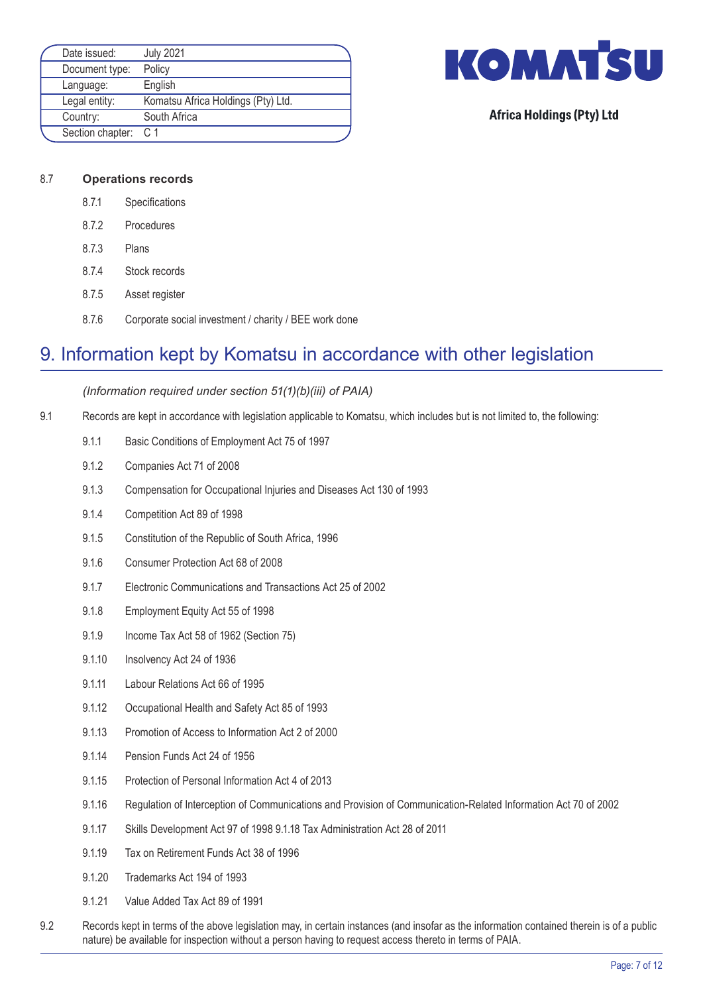| Date issued:         | <b>July 2021</b>                   |  |
|----------------------|------------------------------------|--|
| Document type:       | Policy                             |  |
| Language:            | English                            |  |
| Legal entity:        | Komatsu Africa Holdings (Pty) Ltd. |  |
| Country:             | South Africa                       |  |
| Section chapter: C 1 |                                    |  |



#### 8.7 **Operations records**

- 8.7.1 Specifications
- 8.7.2 Procedures
- 8.7.3 Plans
- 8.7.4 Stock records
- 8.7.5 Asset register
- 8.7.6 Corporate social investment / charity / BEE work done

# 9. Information kept by Komatsu in accordance with other legislation

*(Information required under section 51(1)(b)(iii) of PAIA)*

- 9.1 Records are kept in accordance with legislation applicable to Komatsu, which includes but is not limited to, the following:
	- 9.1.1 Basic Conditions of Employment Act 75 of 1997
	- 9.1.2 Companies Act 71 of 2008
	- 9.1.3 Compensation for Occupational Injuries and Diseases Act 130 of 1993
	- 9.1.4 Competition Act 89 of 1998
	- 9.1.5 Constitution of the Republic of South Africa, 1996
	- 9.1.6 Consumer Protection Act 68 of 2008
	- 9.1.7 Electronic Communications and Transactions Act 25 of 2002
	- 9.1.8 Employment Equity Act 55 of 1998
	- 9.1.9 Income Tax Act 58 of 1962 (Section 75)
	- 9.1.10 Insolvency Act 24 of 1936
	- 9.1.11 Labour Relations Act 66 of 1995
	- 9.1.12 Occupational Health and Safety Act 85 of 1993
	- 9.1.13 Promotion of Access to Information Act 2 of 2000
	- 9.1.14 Pension Funds Act 24 of 1956
	- 9.1.15 Protection of Personal Information Act 4 of 2013
	- 9.1.16 Regulation of Interception of Communications and Provision of Communication-Related Information Act 70 of 2002
	- 9.1.17 Skills Development Act 97 of 1998 9.1.18 Tax Administration Act 28 of 2011
	- 9.1.19 Tax on Retirement Funds Act 38 of 1996
	- 9.1.20 Trademarks Act 194 of 1993
	- 9.1.21 Value Added Tax Act 89 of 1991
- 9.2 Records kept in terms of the above legislation may, in certain instances (and insofar as the information contained therein is of a public nature) be available for inspection without a person having to request access thereto in terms of PAIA.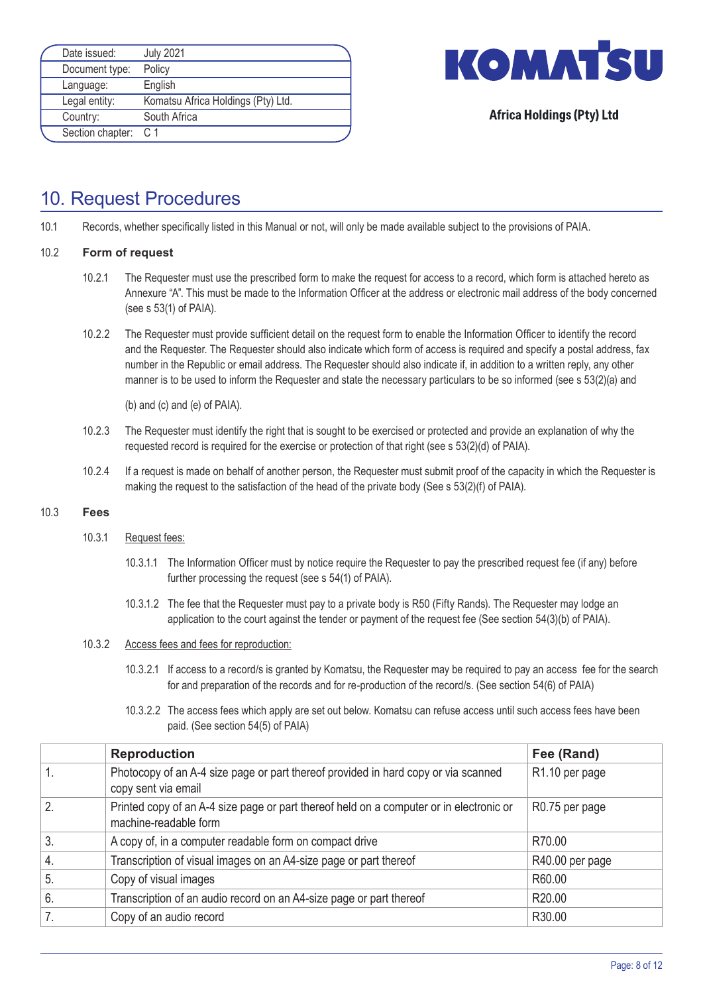| Date issued:   | <b>July 2021</b>                   |                      |
|----------------|------------------------------------|----------------------|
| Document type: | Policy                             |                      |
| Language:      | English                            |                      |
| Legal entity:  | Komatsu Africa Holdings (Pty) Ltd. |                      |
| Country:       | South Africa                       |                      |
|                |                                    |                      |
|                |                                    | Section chapter: C 1 |



# 10. Request Procedures

10.1 Records, whether specifically listed in this Manual or not, will only be made available subject to the provisions of PAIA.

#### 10.2 **Form of request**

- 10.2.1 The Requester must use the prescribed form to make the request for access to a record, which form is attached hereto as Annexure "A". This must be made to the Information Officer at the address or electronic mail address of the body concerned (see s 53(1) of PAIA).
- 10.2.2 The Requester must provide sufficient detail on the request form to enable the Information Officer to identify the record and the Requester. The Requester should also indicate which form of access is required and specify a postal address, fax number in the Republic or email address. The Requester should also indicate if, in addition to a written reply, any other manner is to be used to inform the Requester and state the necessary particulars to be so informed (see s 53(2)(a) and

(b) and (c) and (e) of PAIA).

- 10.2.3 The Requester must identify the right that is sought to be exercised or protected and provide an explanation of why the requested record is required for the exercise or protection of that right (see s 53(2)(d) of PAIA).
- 10.2.4 If a request is made on behalf of another person, the Requester must submit proof of the capacity in which the Requester is making the request to the satisfaction of the head of the private body (See s 53(2)(f) of PAIA).

#### 10.3 **Fees**

#### 10.3.1 Request fees:

- 10.3.1.1 The Information Officer must by notice require the Requester to pay the prescribed request fee (if any) before further processing the request (see s 54(1) of PAIA).
- 10.3.1.2 The fee that the Requester must pay to a private body is R50 (Fifty Rands). The Requester may lodge an application to the court against the tender or payment of the request fee (See section 54(3)(b) of PAIA).
- 10.3.2 Access fees and fees for reproduction:
	- 10.3.2.1 If access to a record/s is granted by Komatsu, the Requester may be required to pay an access fee for the search for and preparation of the records and for re-production of the record/s. (See section 54(6) of PAIA)
	- 10.3.2.2 The access fees which apply are set out below. Komatsu can refuse access until such access fees have been paid. (See section 54(5) of PAIA)

|                  | <b>Reproduction</b>                                                                                              | Fee (Rand)      |
|------------------|------------------------------------------------------------------------------------------------------------------|-----------------|
|                  | Photocopy of an A-4 size page or part thereof provided in hard copy or via scanned<br>copy sent via email        | R1.10 per page  |
| 2.               | Printed copy of an A-4 size page or part thereof held on a computer or in electronic or<br>machine-readable form | R0.75 per page  |
| 3.               | A copy of, in a computer readable form on compact drive                                                          | R70.00          |
| $\overline{4}$ . | Transcription of visual images on an A4-size page or part thereof                                                | R40.00 per page |
| 5.               | Copy of visual images                                                                                            | R60.00          |
| 6.               | Transcription of an audio record on an A4-size page or part thereof                                              | R20.00          |
|                  | Copy of an audio record                                                                                          | R30.00          |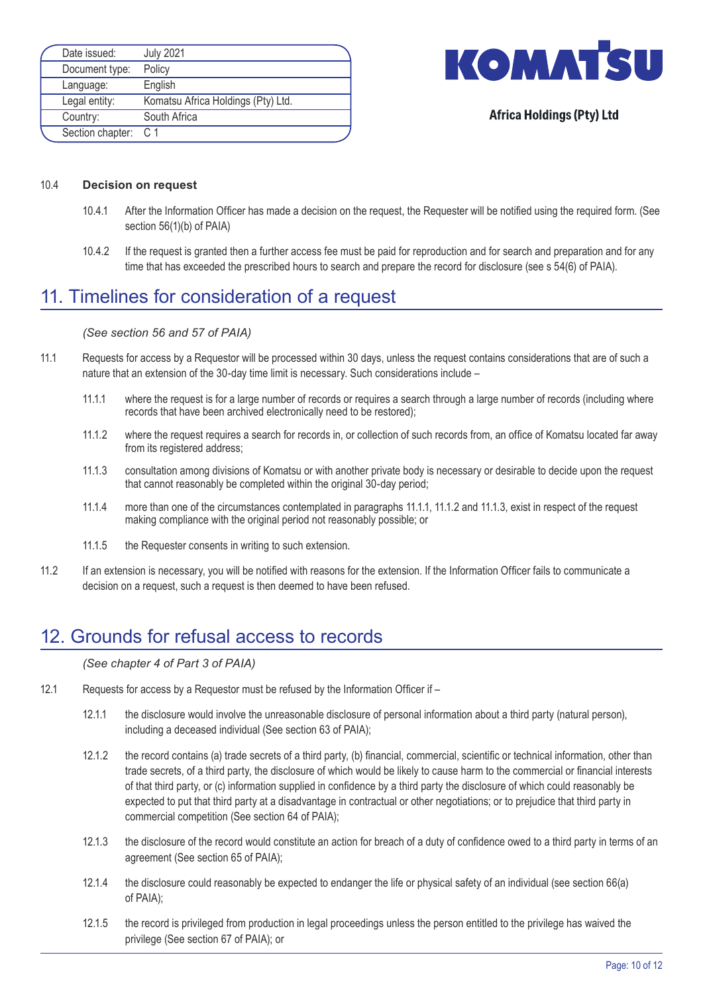| Date issued:   | <b>July 2021</b>                   |                      |
|----------------|------------------------------------|----------------------|
| Document type: | Policy                             |                      |
| Language:      | English                            |                      |
| Legal entity:  | Komatsu Africa Holdings (Pty) Ltd. |                      |
| Country:       | South Africa                       |                      |
|                |                                    |                      |
|                |                                    | Section chapter: C 1 |



#### 10.4 **Decision on request**

- 10.4.1 After the Information Officer has made a decision on the request, the Requester will be notified using the required form. (See section 56(1)(b) of PAIA)
- 10.4.2 If the request is granted then a further access fee must be paid for reproduction and for search and preparation and for any time that has exceeded the prescribed hours to search and prepare the record for disclosure (see s 54(6) of PAIA).

# 11. Timelines for consideration of a request

#### *(See section 56 and 57 of PAIA)*

- 11.1 Requests for access by a Requestor will be processed within 30 days, unless the request contains considerations that are of such a nature that an extension of the 30-day time limit is necessary. Such considerations include –
	- 11.1.1 where the request is for a large number of records or requires a search through a large number of records (including where records that have been archived electronically need to be restored);
	- 11.1.2 where the request requires a search for records in, or collection of such records from, an office of Komatsu located far away from its registered address;
	- 11.1.3 consultation among divisions of Komatsu or with another private body is necessary or desirable to decide upon the request that cannot reasonably be completed within the original 30-day period;
	- 11.1.4 more than one of the circumstances contemplated in paragraphs 11.1.1, 11.1.2 and 11.1.3, exist in respect of the request making compliance with the original period not reasonably possible; or
	- 11.1.5 the Requester consents in writing to such extension.
- 11.2 If an extension is necessary, you will be notified with reasons for the extension. If the Information Officer fails to communicate a decision on a request, such a request is then deemed to have been refused.

# 12. Grounds for refusal access to records

#### *(See chapter 4 of Part 3 of PAIA)*

- 12.1 Requests for access by a Requestor must be refused by the Information Officer if
	- 12.1.1 the disclosure would involve the unreasonable disclosure of personal information about a third party (natural person), including a deceased individual (See section 63 of PAIA);
	- 12.1.2 the record contains (a) trade secrets of a third party, (b) financial, commercial, scientific or technical information, other than trade secrets, of a third party, the disclosure of which would be likely to cause harm to the commercial or financial interests of that third party, or (c) information supplied in confidence by a third party the disclosure of which could reasonably be expected to put that third party at a disadvantage in contractual or other negotiations; or to prejudice that third party in commercial competition (See section 64 of PAIA);
	- 12.1.3 the disclosure of the record would constitute an action for breach of a duty of confidence owed to a third party in terms of an agreement (See section 65 of PAIA);
	- 12.1.4 the disclosure could reasonably be expected to endanger the life or physical safety of an individual (see section 66(a) of PAIA);
	- 12.1.5 the record is privileged from production in legal proceedings unless the person entitled to the privilege has waived the privilege (See section 67 of PAIA); or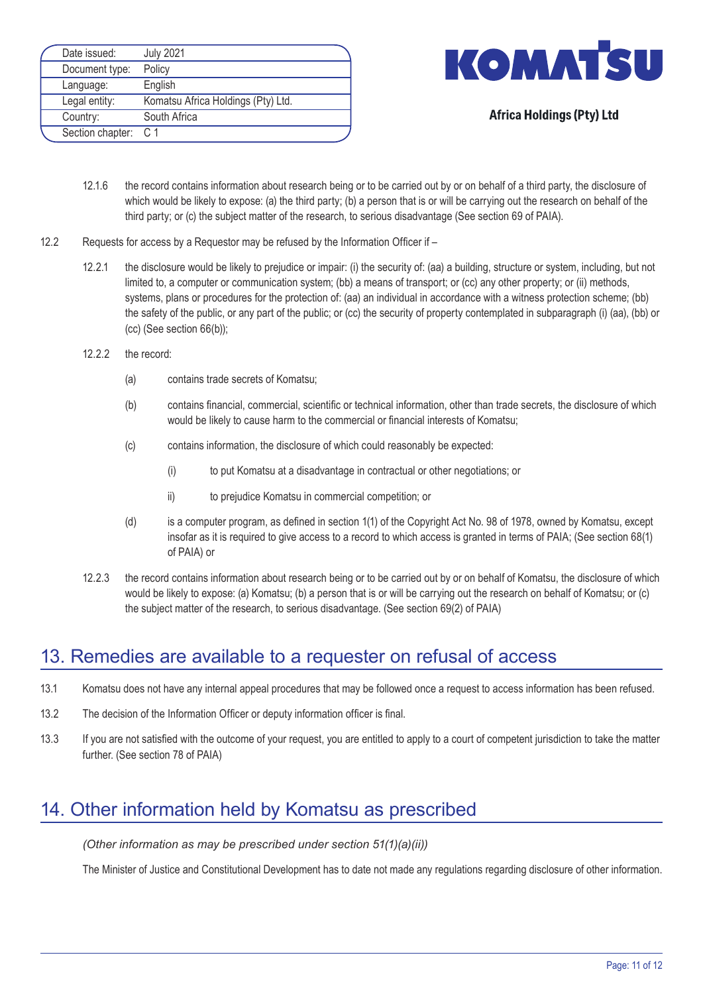| Date issued:         | <b>July 2021</b>                   |
|----------------------|------------------------------------|
| Document type:       | Policy                             |
| Language:            | English                            |
| Legal entity:        | Komatsu Africa Holdings (Pty) Ltd. |
| Country:             | South Africa                       |
| Section chapter: C 1 |                                    |



- 12.1.6 the record contains information about research being or to be carried out by or on behalf of a third party, the disclosure of which would be likely to expose: (a) the third party; (b) a person that is or will be carrying out the research on behalf of the third party; or (c) the subject matter of the research, to serious disadvantage (See section 69 of PAIA).
- 12.2 Requests for access by a Requestor may be refused by the Information Officer if
	- 12.2.1 the disclosure would be likely to prejudice or impair: (i) the security of: (aa) a building, structure or system, including, but not limited to, a computer or communication system; (bb) a means of transport; or (cc) any other property; or (ii) methods, systems, plans or procedures for the protection of: (aa) an individual in accordance with a witness protection scheme; (bb) the safety of the public, or any part of the public; or (cc) the security of property contemplated in subparagraph (i) (aa), (bb) or (cc) (See section 66(b));
	- 12.2.2 the record:
		- (a) contains trade secrets of Komatsu;
		- (b) contains financial, commercial, scientific or technical information, other than trade secrets, the disclosure of which would be likely to cause harm to the commercial or financial interests of Komatsu;
		- (c) contains information, the disclosure of which could reasonably be expected:
			- (i) to put Komatsu at a disadvantage in contractual or other negotiations; or
			- ii) to prejudice Komatsu in commercial competition; or
		- (d) is a computer program, as defined in section 1(1) of the Copyright Act No. 98 of 1978, owned by Komatsu, except insofar as it is required to give access to a record to which access is granted in terms of PAIA; (See section 68(1) of PAIA) or
	- 12.2.3 the record contains information about research being or to be carried out by or on behalf of Komatsu, the disclosure of which would be likely to expose: (a) Komatsu; (b) a person that is or will be carrying out the research on behalf of Komatsu; or (c) the subject matter of the research, to serious disadvantage. (See section 69(2) of PAIA)

# 13. Remedies are available to a requester on refusal of access

- 13.1 Komatsu does not have any internal appeal procedures that may be followed once a request to access information has been refused.
- 13.2 The decision of the Information Officer or deputy information officer is final.
- 13.3 If you are not satisfied with the outcome of your request, you are entitled to apply to a court of competent jurisdiction to take the matter further. (See section 78 of PAIA)

# 14. Other information held by Komatsu as prescribed

*(Other information as may be prescribed under section 51(1)(a)(ii))*

The Minister of Justice and Constitutional Development has to date not made any regulations regarding disclosure of other information.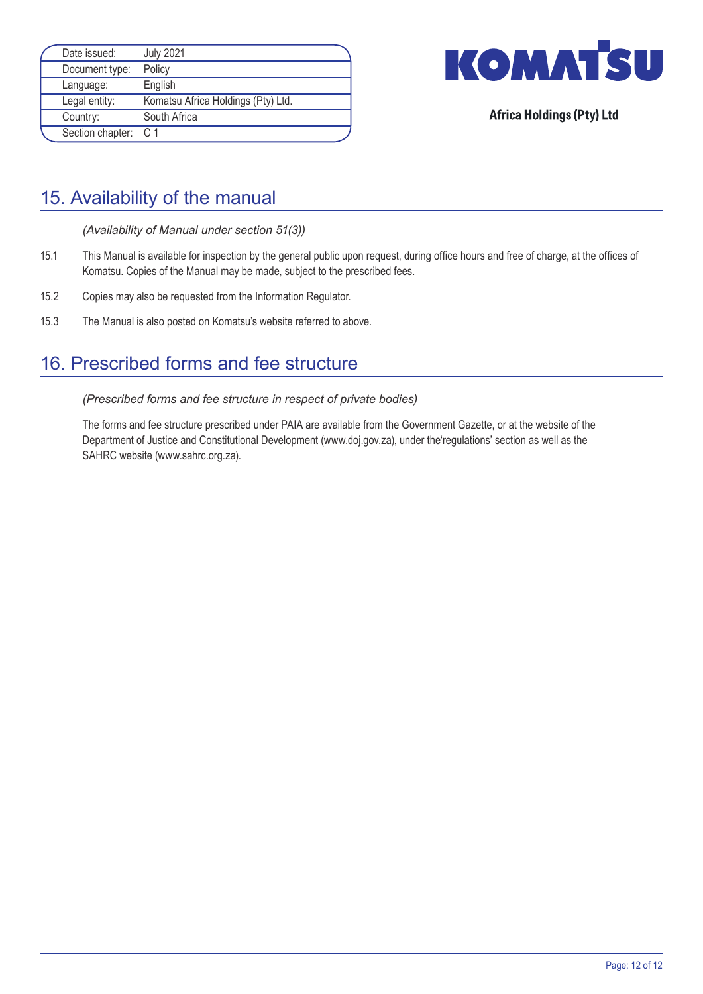| Date issued:         | <b>July 2021</b>                   |  |
|----------------------|------------------------------------|--|
| Document type:       | Policy                             |  |
| Language:            | English                            |  |
| Legal entity:        | Komatsu Africa Holdings (Pty) Ltd. |  |
| Country:             | South Africa                       |  |
| Section chapter: C 1 |                                    |  |



# 15. Availability of the manual

*(Availability of Manual under section 51(3))*

- 15.1 This Manual is available for inspection by the general public upon request, during office hours and free of charge, at the offices of Komatsu. Copies of the Manual may be made, subject to the prescribed fees.
- 15.2 Copies may also be requested from the Information Regulator.
- 15.3 The Manual is also posted on Komatsu's website referred to above.

# 16. Prescribed forms and fee structure

*(Prescribed forms and fee structure in respect of private bodies)*

 The forms and fee structure prescribed under PAIA are available from the Government Gazette, or at the website of the Department of Justice and Constitutional Development (www.doj.gov.za), under the'regulations' section as well as the SAHRC website (www.sahrc.org.za).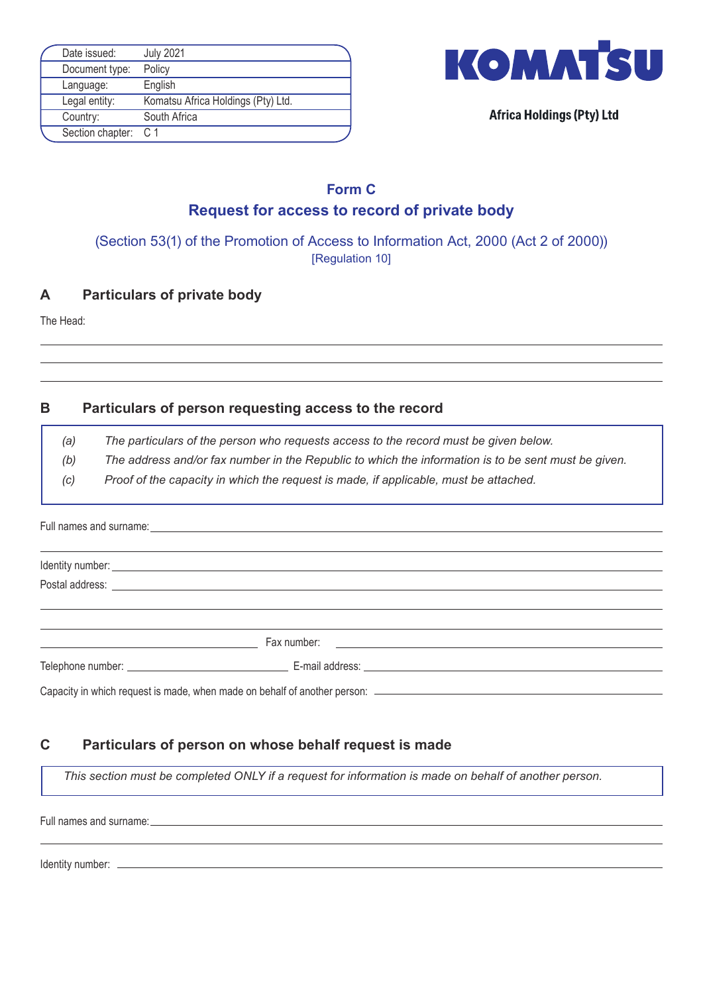| Date issued:         | <b>July 2021</b>                   |  |
|----------------------|------------------------------------|--|
| Document type:       | Policy                             |  |
| Language:            | English                            |  |
| Legal entity:        | Komatsu Africa Holdings (Pty) Ltd. |  |
| Country:             | South Africa                       |  |
| Section chapter: C 1 |                                    |  |



### **Form C Request for access to record of private body**

(Section 53(1) of the Promotion of Access to Information Act, 2000 (Act 2 of 2000)) [Regulation 10]

### **A Particulars of private body**

The Head:

### **B Particulars of person requesting access to the record**

*(a) The particulars of the person who requests access to the record must be given below.*

*(b) The address and/or fax number in the Republic to which the information is to be sent must be given.*

*(c) Proof of the capacity in which the request is made, if applicable, must be attached.*

# Full names and surname: Identity number: Postal address: Telephone number: E-mail address: Fax number:

Capacity in which request is made, when made on behalf of another person:

# **C Particulars of person on whose behalf request is made**

*This section must be completed ONLY if a request for information is made on behalf of another person.*

Full names and surname:

Identity number: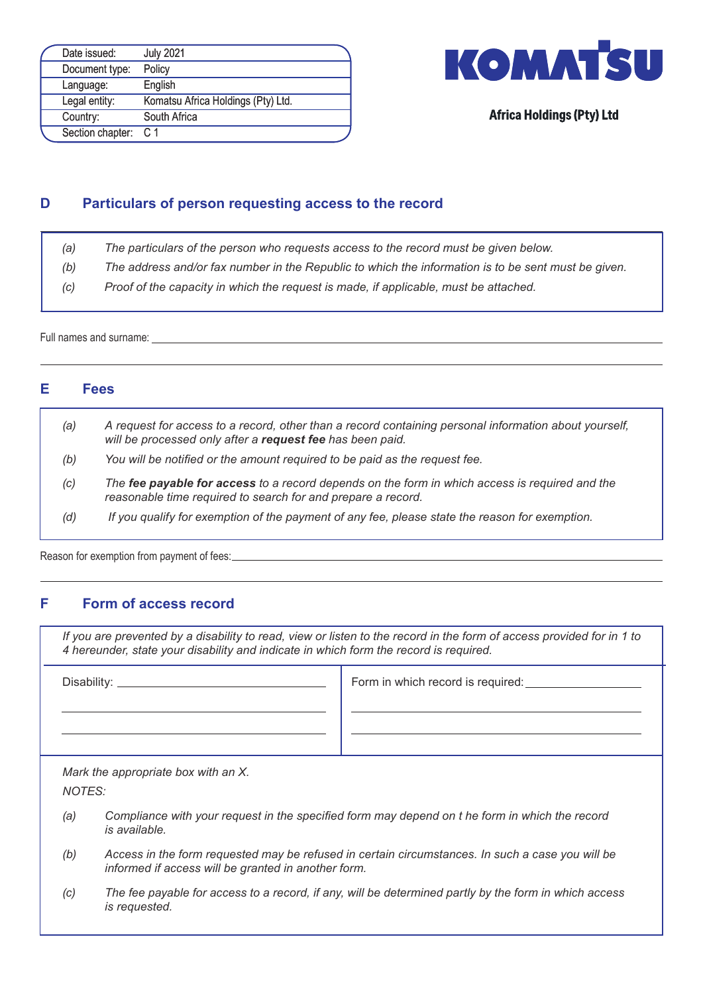| Date issued:         | <b>July 2021</b>                   |  |
|----------------------|------------------------------------|--|
| Document type:       | Policy                             |  |
| Language:            | English                            |  |
| Legal entity:        | Komatsu Africa Holdings (Pty) Ltd. |  |
| Country:             | South Africa                       |  |
| Section chapter: C 1 |                                    |  |



### **D Particulars of person requesting access to the record**

- *(a) The particulars of the person who requests access to the record must be given below.*
- *(b) The address and/or fax number in the Republic to which the information is to be sent must be given.*
- *(c) Proof of the capacity in which the request is made, if applicable, must be attached.*

Full names and surname:

### **E Fees**

- *(a) A request for access to a record, other than a record containing personal information about yourself, will be processed only after a request fee has been paid.*
- *(b) You will be notified or the amount required to be paid as the request fee.*
- *(c) The fee payable for access to a record depends on the form in which access is required and the reasonable time required to search for and prepare a record.*
- *(d) If you qualify for exemption of the payment of any fee, please state the reason for exemption.*

Reason for exemption from payment of fees:

#### **F Form of access record**

*If you are prevented by a disability to read, view or listen to the record in the form of access provided for in 1 to 4 hereunder, state your disability and indicate in which form the record is required.*

Disability: Form in which record is required:

*Mark the appropriate box with an X.*

*NOTES:*

- (a) Compliance with your request in the specified form may depend on t he form in which the record *is available.*
- *(b) Access in the form requested may be refused in certain circumstances. In such a case you will be informed if access will be granted in another form.*
- *(c) The fee payable for access to a record, if any, will be determined partly by the form in which access is requested.*